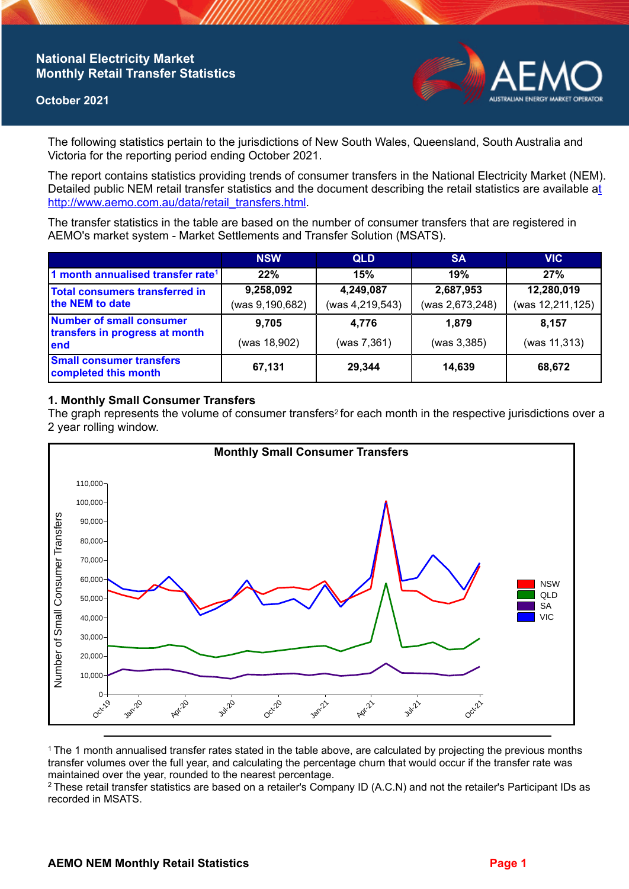# **National Electricity Market Monthly Retail Transfer Statistics**

### **October 2021**



The following statistics pertain to the jurisdictions of New South Wales, Queensland, South Australia and Victoria for the reporting period ending October 2021.

The report contains statistics providing trends of consumer transfers in the National Electricity Market (NEM). Detailed public NEM retail transfer statistics and the document describing the retail statistics are available a[t](http://www.aemo.com.au/data/retail_transfers.html)  http://www.aemo.com.au/data/retail\_transfers.html

The transfer statistics in the table are based on the number of consumer transfers that are registered in AEMO's market system - Market Settlements and Transfer Solution (MSATS).

|                                                                    | <b>NSW</b>                   | <b>QLD</b>                   | <b>SA</b>                    | <b>VIC</b>                     |
|--------------------------------------------------------------------|------------------------------|------------------------------|------------------------------|--------------------------------|
| 1 month annualised transfer rate <sup>1</sup>                      | 22%                          | 15%                          | 19%                          | 27%                            |
| Total consumers transferred in<br>the NEM to date                  | 9,258,092<br>(was 9,190,682) | 4,249,087<br>(was 4,219,543) | 2,687,953<br>(was 2,673,248) | 12,280,019<br>(was 12,211,125) |
| Number of small consumer<br>transfers in progress at month<br>lend | 9.705<br>(was 18,902)        | 4.776<br>(was 7,361)         | 1.879<br>(was 3, 385)        | 8.157<br>(was 11,313)          |
| <b>Small consumer transfers</b><br>completed this month            | 67,131                       | 29,344                       | 14,639                       | 68,672                         |

## **1. Monthly Small Consumer Transfers**

The graph represents the volume of consumer transfers<sup>2</sup> for each month in the respective jurisdictions over a 2 year rolling window.



<sup>1</sup>The 1 month annualised transfer rates stated in the table above, are calculated by projecting the previous months transfer volumes over the full year, and calculating the percentage churn that would occur if the transfer rate was maintained over the year, rounded to the nearest percentage.

<sup>2</sup> These retail transfer statistics are based on a retailer's Company ID (A.C.N) and not the retailer's Participant IDs as recorded in MSATS.